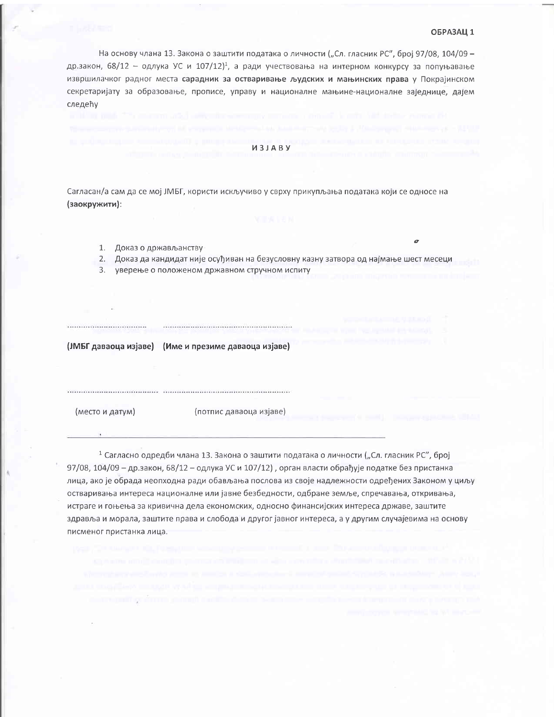### ОБРАЗАЦ 1

На основу члана 13. Закона о заштити података о личности ("Сл. гласник РС", број 97/08, 104/09 др.закон, 68/12 - одлука УС и 107/12)<sup>1</sup>, а ради учествовања на интерном конкурсу за попуњавање извршилачког радног места сарадник за остваривање људских и мањинских права у Покрајинском секретаријату за образовање, прописе, управу и националне мањине-националне заједнице, дајем следећу

### **ИЗЈАВУ**

Сагласан/а сам да се мој ЈМБГ, користи искључиво у сврху прикупљања података који се односе на (заокружити):

- 1. Доказ о држављанству
- 2. Доказ да кандидат није осуђиван на безусловну казну затвора од најмање шест месеци
- 3. уверење о положеном државном стручном испиту

(JMБГ даваоца изјаве) (Име и презиме даваоца изјаве)

(место и датум)

..................................

(потпис даваоца изјаве)

<sup>1</sup> Сагласно одредби члана 13. Закона о заштити података о личности ("Сл. гласник РС", број 97/08, 104/09 - др.закон, 68/12 - одлука УС и 107/12), орган власти обрађује податке без пристанка лица, ако је обрада неопходна ради обављања послова из своје надлежности одређених Законом у циљу остваривања интереса националне или јавне безбедности, одбране земље, спречавања, откривања, истраге и гоњења за кривична дела економских, односно финансијских интереса државе, заштите здравља и морала, заштите права и слобода и другог јавног интереса, а у другим случајевима на основу писменог пристанка лица.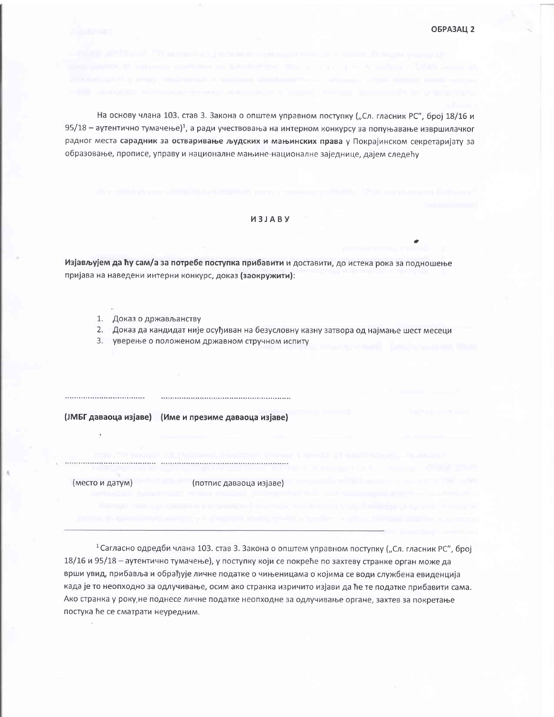На основу члана 103. став 3. Закона о општем управном поступку ("Сл. гласник РС", број 18/16 и  $95/18$  – аутентично тумачење)<sup>1</sup>, а ради учествовања на интерном конкурсу за попуњавање извршилачког радног места сарадник за остваривање људских и мањинских права у Покрајинском секретаријату за образовање, прописе, управу и националне мањине-националне заједнице, дајем следећу

## *M3JABY*

Изјављујем да ћу сам/а за потребе поступка прибавити и доставити, до истека рока за подношење пријава на наведени интерни конкурс, доказ (заокружити):

- 1. Доказ о држављанству
- 2. Доказ да кандидат није осуђиван на безусловну казну затвора од најмање шест месеци
- 3. уверење о положеном државном стручном испиту

....................................

(ЈМБГ даваоца изјаве) (Име и презиме даваоца изјаве)

(место и датум) (потпис даваоца изјаве)

1 Сагласно одредби члана 103. став 3. Закона о општем управном поступку ("Сл. гласник РС", број 18/16 и 95/18 – аутентично тумачење), у поступку који се покреће по захтеву странке орган може да врши увид, прибавља и обрађује личне податке о чињеницама о којима се води службена евиденција када је то неопходно за одлучивање, осим ако странка изричито изјави да ће те податке прибавити сама. Ако странка у року, не поднесе личне податке неопходне за одлучивање органе, захтев за покретање постука ће се сматрати неуредним.